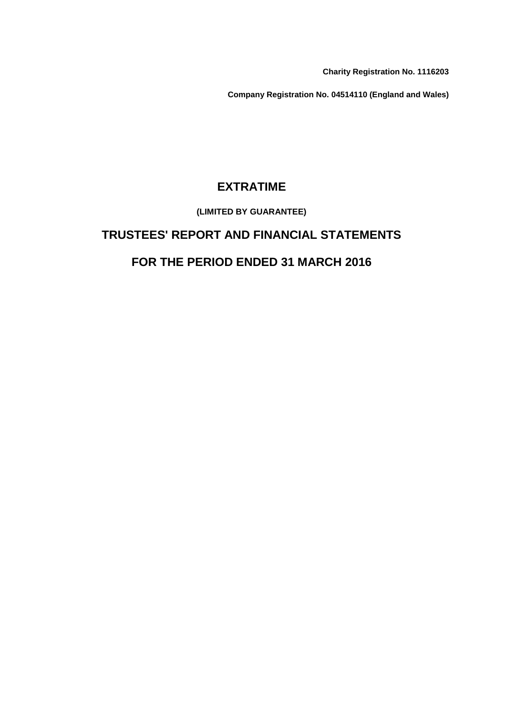**Charity Registration No. 1116203**

**Company Registration No. 04514110 (England and Wales)**

# **EXTRATIME**

### **(LIMITED BY GUARANTEE)**

# **TRUSTEES' REPORT AND FINANCIAL STATEMENTS**

# **FOR THE PERIOD ENDED 31 MARCH 2016**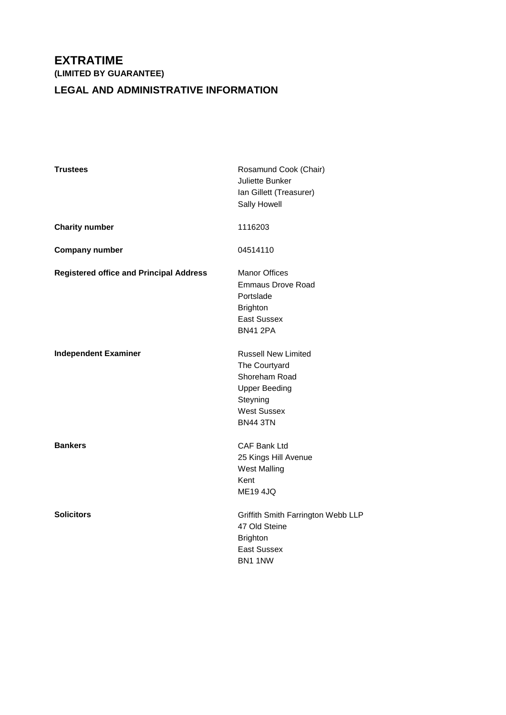## **LEGAL AND ADMINISTRATIVE INFORMATION**

| <b>Trustees</b>                                | Rosamund Cook (Chair)<br>Juliette Bunker<br>Ian Gillett (Treasurer)<br>Sally Howell                                                       |
|------------------------------------------------|-------------------------------------------------------------------------------------------------------------------------------------------|
| <b>Charity number</b>                          | 1116203                                                                                                                                   |
| <b>Company number</b>                          | 04514110                                                                                                                                  |
| <b>Registered office and Principal Address</b> | <b>Manor Offices</b><br><b>Emmaus Drove Road</b><br>Portslade<br><b>Brighton</b><br><b>East Sussex</b><br><b>BN41 2PA</b>                 |
| <b>Independent Examiner</b>                    | <b>Russell New Limited</b><br>The Courtyard<br>Shoreham Road<br><b>Upper Beeding</b><br>Steyning<br><b>West Sussex</b><br><b>BN44 3TN</b> |
| <b>Bankers</b>                                 | <b>CAF Bank Ltd</b><br>25 Kings Hill Avenue<br><b>West Malling</b><br>Kent<br><b>ME19 4JQ</b>                                             |
| <b>Solicitors</b>                              | Griffith Smith Farrington Webb LLP<br>47 Old Steine<br><b>Brighton</b><br><b>East Sussex</b><br>BN1 1NW                                   |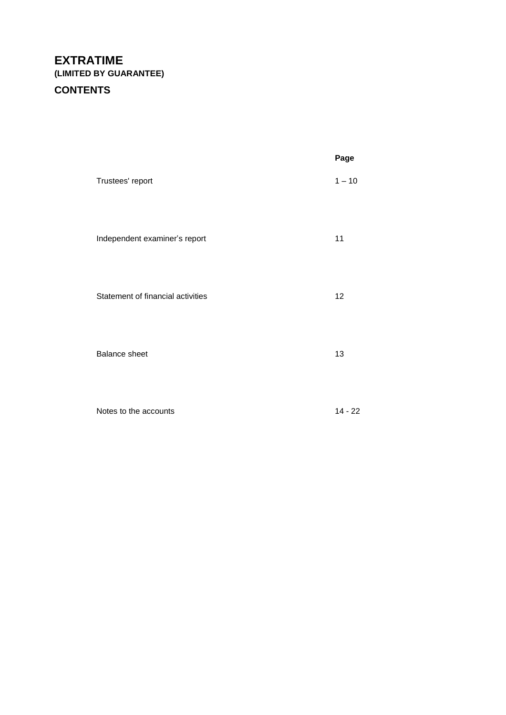# **CONTENTS**

|                                   | Page      |
|-----------------------------------|-----------|
| Trustees' report                  | $1 - 10$  |
| Independent examiner's report     | 11        |
| Statement of financial activities | 12        |
| <b>Balance sheet</b>              | 13        |
| Notes to the accounts             | $14 - 22$ |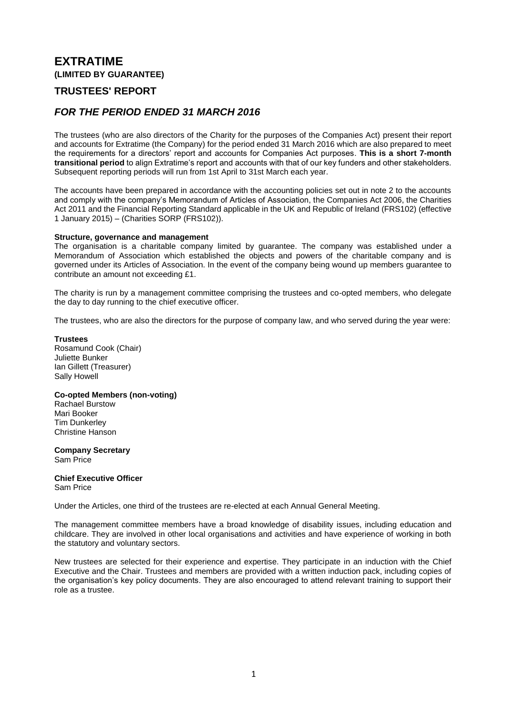### **TRUSTEES' REPORT**

### *FOR THE PERIOD ENDED 31 MARCH 2016*

The trustees (who are also directors of the Charity for the purposes of the Companies Act) present their report and accounts for Extratime (the Company) for the period ended 31 March 2016 which are also prepared to meet the requirements for a directors' report and accounts for Companies Act purposes. **This is a short 7-month transitional period** to align Extratime's report and accounts with that of our key funders and other stakeholders. Subsequent reporting periods will run from 1st April to 31st March each year.

The accounts have been prepared in accordance with the accounting policies set out in note 2 to the accounts and comply with the company's Memorandum of Articles of Association, the Companies Act 2006, the Charities Act 2011 and the Financial Reporting Standard applicable in the UK and Republic of Ireland (FRS102) (effective 1 January 2015) – (Charities SORP (FRS102)).

#### **Structure, governance and management**

The organisation is a charitable company limited by guarantee. The company was established under a Memorandum of Association which established the objects and powers of the charitable company and is governed under its Articles of Association. In the event of the company being wound up members guarantee to contribute an amount not exceeding £1.

The charity is run by a management committee comprising the trustees and co-opted members, who delegate the day to day running to the chief executive officer.

The trustees, who are also the directors for the purpose of company law, and who served during the year were:

### **Trustees**

Rosamund Cook (Chair) Juliette Bunker Ian Gillett (Treasurer) Sally Howell

### **Co-opted Members (non-voting)**

Rachael Burstow Mari Booker Tim Dunkerley Christine Hanson

**Company Secretary** Sam Price

#### **Chief Executive Officer** Sam Price

Under the Articles, one third of the trustees are re-elected at each Annual General Meeting.

The management committee members have a broad knowledge of disability issues, including education and childcare. They are involved in other local organisations and activities and have experience of working in both the statutory and voluntary sectors.

New trustees are selected for their experience and expertise. They participate in an induction with the Chief Executive and the Chair. Trustees and members are provided with a written induction pack, including copies of the organisation's key policy documents. They are also encouraged to attend relevant training to support their role as a trustee.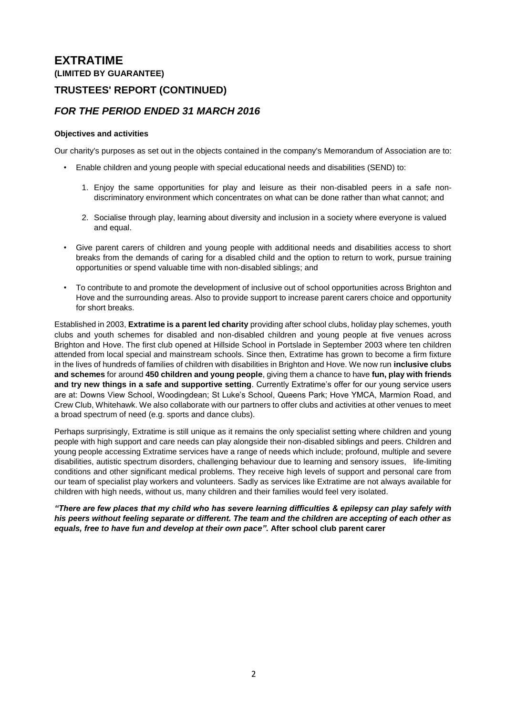### **TRUSTEES' REPORT (CONTINUED)**

### *FOR THE PERIOD ENDED 31 MARCH 2016*

### **Objectives and activities**

Our charity's purposes as set out in the objects contained in the company's Memorandum of Association are to:

- Enable children and young people with special educational needs and disabilities (SEND) to:
	- 1. Enjoy the same opportunities for play and leisure as their non-disabled peers in a safe nondiscriminatory environment which concentrates on what can be done rather than what cannot; and
	- 2. Socialise through play, learning about diversity and inclusion in a society where everyone is valued and equal.
- Give parent carers of children and young people with additional needs and disabilities access to short breaks from the demands of caring for a disabled child and the option to return to work, pursue training opportunities or spend valuable time with non-disabled siblings; and
- To contribute to and promote the development of inclusive out of school opportunities across Brighton and Hove and the surrounding areas. Also to provide support to increase parent carers choice and opportunity for short breaks.

Established in 2003, **Extratime is a parent led charity** providing after school clubs, holiday play schemes, youth clubs and youth schemes for disabled and non-disabled children and young people at five venues across Brighton and Hove. The first club opened at Hillside School in Portslade in September 2003 where ten children attended from local special and mainstream schools. Since then, Extratime has grown to become a firm fixture in the lives of hundreds of families of children with disabilities in Brighton and Hove. We now run **inclusive clubs and schemes** for around **450 children and young people**, giving them a chance to have **fun, play with friends and try new things in a safe and supportive setting**. Currently Extratime's offer for our young service users are at: Downs View School, Woodingdean; St Luke's School, Queens Park; Hove YMCA, Marmion Road, and Crew Club, Whitehawk. We also collaborate with our partners to offer clubs and activities at other venues to meet a broad spectrum of need (e.g. sports and dance clubs).

Perhaps surprisingly, Extratime is still unique as it remains the only specialist setting where children and young people with high support and care needs can play alongside their non-disabled siblings and peers. Children and young people accessing Extratime services have a range of needs which include; profound, multiple and severe disabilities, autistic spectrum disorders, challenging behaviour due to learning and sensory issues, life-limiting conditions and other significant medical problems. They receive high levels of support and personal care from our team of specialist play workers and volunteers. Sadly as services like Extratime are not always available for children with high needs, without us, many children and their families would feel very isolated.

*"There are few places that my child who has severe learning difficulties & epilepsy can play safely with his peers without feeling separate or different. The team and the children are accepting of each other as equals, free to have fun and develop at their own pace".* **After school club parent carer**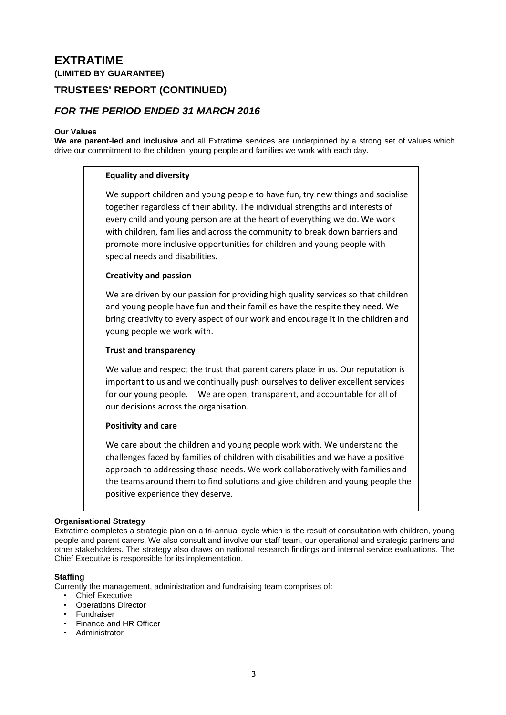### **TRUSTEES' REPORT (CONTINUED)**

### *FOR THE PERIOD ENDED 31 MARCH 2016*

#### **Our Values**

**We are parent-led and inclusive** and all Extratime services are underpinned by a strong set of values which drive our commitment to the children, young people and families we work with each day.

#### **Equality and diversity**

We support children and young people to have fun, try new things and socialise together regardless of their ability. The individual strengths and interests of every child and young person are at the heart of everything we do. We work with children, families and across the community to break down barriers and promote more inclusive opportunities for children and young people with special needs and disabilities.

### **Creativity and passion**

We are driven by our passion for providing high quality services so that children and young people have fun and their families have the respite they need. We bring creativity to every aspect of our work and encourage it in the children and young people we work with.

#### **Trust and transparency**

We value and respect the trust that parent carers place in us. Our reputation is important to us and we continually push ourselves to deliver excellent services for our young people. We are open, transparent, and accountable for all of our decisions across the organisation.

#### **Positivity and care**

We care about the children and young people work with. We understand the challenges faced by families of children with disabilities and we have a positive approach to addressing those needs. We work collaboratively with families and the teams around them to find solutions and give children and young people the positive experience they deserve.

#### **Organisational Strategy**

Extratime completes a strategic plan on a tri-annual cycle which is the result of consultation with children, young people and parent carers. We also consult and involve our staff team, our operational and strategic partners and other stakeholders. The strategy also draws on national research findings and internal service evaluations. The Chief Executive is responsible for its implementation.

#### **Staffing**

Currently the management, administration and fundraising team comprises of:

- **Chief Executive**
- Operations Director
- Fundraiser
- Finance and HR Officer
- Administrator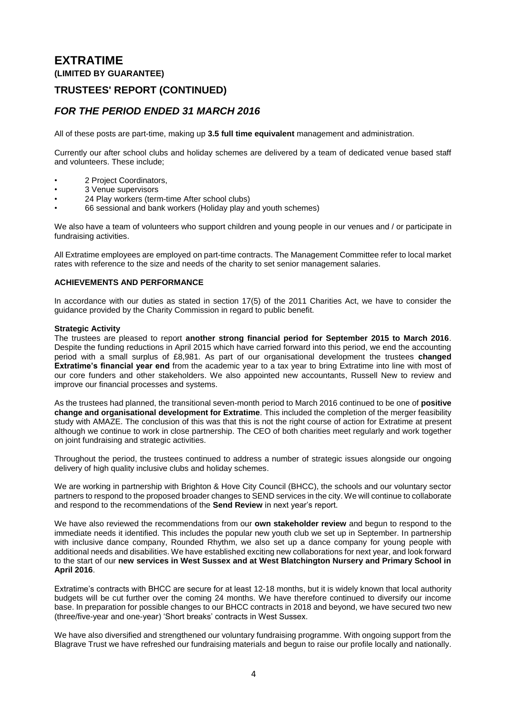### **TRUSTEES' REPORT (CONTINUED)**

### *FOR THE PERIOD ENDED 31 MARCH 2016*

All of these posts are part-time, making up **3.5 full time equivalent** management and administration.

Currently our after school clubs and holiday schemes are delivered by a team of dedicated venue based staff and volunteers. These include;

- 2 Project Coordinators,
- 3 Venue supervisors
- 24 Play workers (term-time After school clubs)
- 66 sessional and bank workers (Holiday play and youth schemes)

We also have a team of volunteers who support children and young people in our venues and / or participate in fundraising activities.

All Extratime employees are employed on part-time contracts. The Management Committee refer to local market rates with reference to the size and needs of the charity to set senior management salaries.

#### **ACHIEVEMENTS AND PERFORMANCE**

In accordance with our duties as stated in section 17(5) of the 2011 Charities Act, we have to consider the guidance provided by the Charity Commission in regard to public benefit.

#### **Strategic Activity**

The trustees are pleased to report **another strong financial period for September 2015 to March 2016**. Despite the funding reductions in April 2015 which have carried forward into this period, we end the accounting period with a small surplus of £8,981. As part of our organisational development the trustees **changed Extratime's financial year end** from the academic year to a tax year to bring Extratime into line with most of our core funders and other stakeholders. We also appointed new accountants, Russell New to review and improve our financial processes and systems.

As the trustees had planned, the transitional seven-month period to March 2016 continued to be one of **positive change and organisational development for Extratime**. This included the completion of the merger feasibility study with AMAZE. The conclusion of this was that this is not the right course of action for Extratime at present although we continue to work in close partnership. The CEO of both charities meet regularly and work together on joint fundraising and strategic activities.

Throughout the period, the trustees continued to address a number of strategic issues alongside our ongoing delivery of high quality inclusive clubs and holiday schemes.

We are working in partnership with Brighton & Hove City Council (BHCC), the schools and our voluntary sector partners to respond to the proposed broader changes to SEND services in the city. We will continue to collaborate and respond to the recommendations of the **Send Review** in next year's report.

We have also reviewed the recommendations from our **own stakeholder review** and begun to respond to the immediate needs it identified. This includes the popular new youth club we set up in September. In partnership with inclusive dance company, Rounded Rhythm, we also set up a dance company for young people with additional needs and disabilities. We have established exciting new collaborations for next year, and look forward to the start of our **new services in West Sussex and at West Blatchington Nursery and Primary School in April 2016**.

Extratime's contracts with BHCC are secure for at least 12-18 months, but it is widely known that local authority budgets will be cut further over the coming 24 months. We have therefore continued to diversify our income base. In preparation for possible changes to our BHCC contracts in 2018 and beyond, we have secured two new (three/five-year and one-year) 'Short breaks' contracts in West Sussex.

We have also diversified and strengthened our voluntary fundraising programme. With ongoing support from the Blagrave Trust we have refreshed our fundraising materials and begun to raise our profile locally and nationally.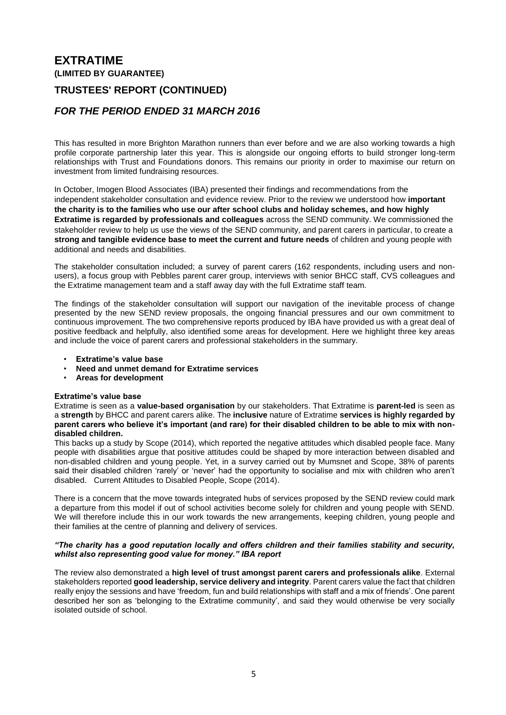### **TRUSTEES' REPORT (CONTINUED)**

### *FOR THE PERIOD ENDED 31 MARCH 2016*

This has resulted in more Brighton Marathon runners than ever before and we are also working towards a high profile corporate partnership later this year. This is alongside our ongoing efforts to build stronger long-term relationships with Trust and Foundations donors. This remains our priority in order to maximise our return on investment from limited fundraising resources.

In October, Imogen Blood Associates (IBA) presented their findings and recommendations from the independent stakeholder consultation and evidence review. Prior to the review we understood how **important the charity is to the families who use our after school clubs and holiday schemes, and how highly Extratime is regarded by professionals and colleagues** across the SEND community. We commissioned the stakeholder review to help us use the views of the SEND community, and parent carers in particular, to create a **strong and tangible evidence base to meet the current and future needs** of children and young people with additional and needs and disabilities.

The stakeholder consultation included; a survey of parent carers (162 respondents, including users and nonusers), a focus group with Pebbles parent carer group, interviews with senior BHCC staff, CVS colleagues and the Extratime management team and a staff away day with the full Extratime staff team.

The findings of the stakeholder consultation will support our navigation of the inevitable process of change presented by the new SEND review proposals, the ongoing financial pressures and our own commitment to continuous improvement. The two comprehensive reports produced by IBA have provided us with a great deal of positive feedback and helpfully, also identified some areas for development. Here we highlight three key areas and include the voice of parent carers and professional stakeholders in the summary.

- **Extratime's value base**
- **Need and unmet demand for Extratime services**
- **Areas for development**

### **Extratime's value base**

Extratime is seen as a **value-based organisation** by our stakeholders. That Extratime is **parent-led** is seen as a **strength** by BHCC and parent carers alike. The **inclusive** nature of Extratime **services is highly regarded by parent carers who believe it's important (and rare) for their disabled children to be able to mix with nondisabled children.** 

This backs up a study by Scope (2014), which reported the negative attitudes which disabled people face. Many people with disabilities argue that positive attitudes could be shaped by more interaction between disabled and non-disabled children and young people. Yet, in a survey carried out by Mumsnet and Scope, 38% of parents said their disabled children 'rarely' or 'never' had the opportunity to socialise and mix with children who aren't disabled. Current Attitudes to Disabled People, Scope (2014).

There is a concern that the move towards integrated hubs of services proposed by the SEND review could mark a departure from this model if out of school activities become solely for children and young people with SEND. We will therefore include this in our work towards the new arrangements, keeping children, young people and their families at the centre of planning and delivery of services.

#### *"The charity has a good reputation locally and offers children and their families stability and security, whilst also representing good value for money." IBA report*

The review also demonstrated a **high level of trust amongst parent carers and professionals alike**. External stakeholders reported **good leadership, service delivery and integrity**. Parent carers value the fact that children really enjoy the sessions and have 'freedom, fun and build relationships with staff and a mix of friends'. One parent described her son as 'belonging to the Extratime community', and said they would otherwise be very socially isolated outside of school.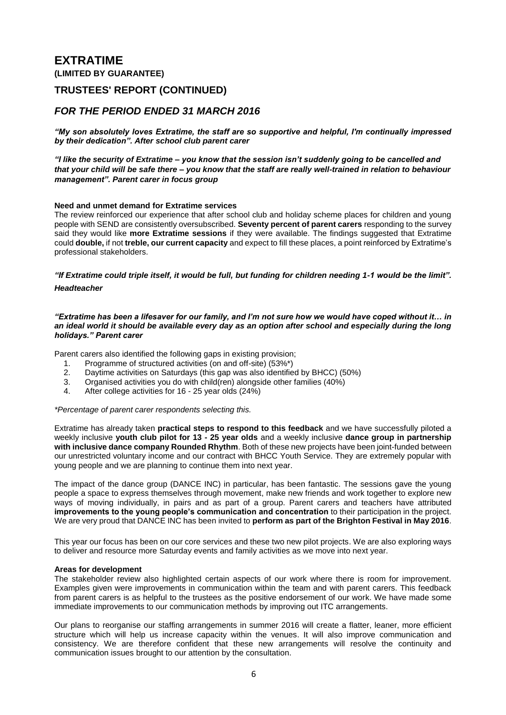### **TRUSTEES' REPORT (CONTINUED)**

### *FOR THE PERIOD ENDED 31 MARCH 2016*

*"My son absolutely loves Extratime, the staff are so supportive and helpful, I'm continually impressed by their dedication". After school club parent carer* 

*"I like the security of Extratime – you know that the session isn't suddenly going to be cancelled and that your child will be safe there – you know that the staff are really well-trained in relation to behaviour management". Parent carer in focus group*

#### **Need and unmet demand for Extratime services**

The review reinforced our experience that after school club and holiday scheme places for children and young people with SEND are consistently oversubscribed. **Seventy percent of parent carers** responding to the survey said they would like **more Extratime sessions** if they were available. The findings suggested that Extratime could **double,** if not **treble, our current capacity** and expect to fill these places, a point reinforced by Extratime's professional stakeholders.

### *"If Extratime could triple itself, it would be full, but funding for children needing 1-1 would be the limit". Headteacher*

#### *"Extratime has been a lifesaver for our family, and I'm not sure how we would have coped without it… in an ideal world it should be available every day as an option after school and especially during the long holidays." Parent carer*

Parent carers also identified the following gaps in existing provision;

- 1. Programme of structured activities (on and off-site) (53%\*)
- 2. Daytime activities on Saturdays (this gap was also identified by BHCC) (50%)
- 3. Organised activities you do with child(ren) alongside other families (40%)
- 4. After college activities for 16 25 year olds (24%)

#### *\*Percentage of parent carer respondents selecting this.*

Extratime has already taken **practical steps to respond to this feedback** and we have successfully piloted a weekly inclusive **youth club pilot for 13 - 25 year olds** and a weekly inclusive **dance group in partnership with inclusive dance company Rounded Rhythm**. Both of these new projects have been joint-funded between our unrestricted voluntary income and our contract with BHCC Youth Service. They are extremely popular with young people and we are planning to continue them into next year.

The impact of the dance group (DANCE INC) in particular, has been fantastic. The sessions gave the young people a space to express themselves through movement, make new friends and work together to explore new ways of moving individually, in pairs and as part of a group. Parent carers and teachers have attributed **improvements to the young people's communication and concentration** to their participation in the project. We are very proud that DANCE INC has been invited to **perform as part of the Brighton Festival in May 2016**.

This year our focus has been on our core services and these two new pilot projects. We are also exploring ways to deliver and resource more Saturday events and family activities as we move into next year.

#### **Areas for development**

The stakeholder review also highlighted certain aspects of our work where there is room for improvement. Examples given were improvements in communication within the team and with parent carers. This feedback from parent carers is as helpful to the trustees as the positive endorsement of our work. We have made some immediate improvements to our communication methods by improving out ITC arrangements.

Our plans to reorganise our staffing arrangements in summer 2016 will create a flatter, leaner, more efficient structure which will help us increase capacity within the venues. It will also improve communication and consistency. We are therefore confident that these new arrangements will resolve the continuity and communication issues brought to our attention by the consultation.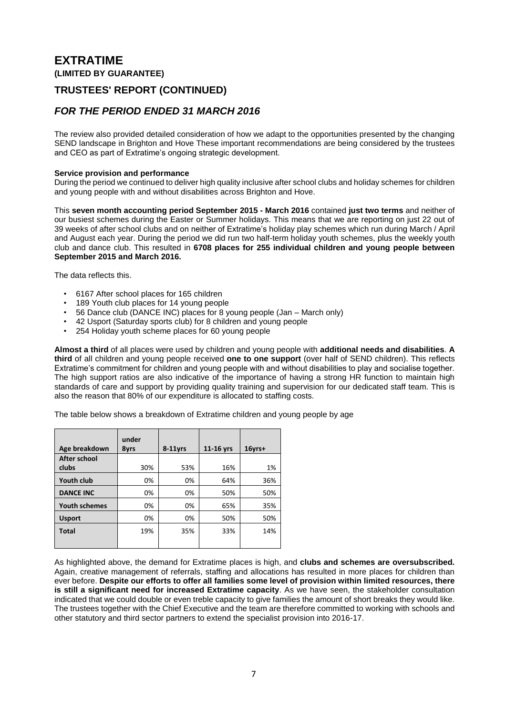### **TRUSTEES' REPORT (CONTINUED)**

### *FOR THE PERIOD ENDED 31 MARCH 2016*

The review also provided detailed consideration of how we adapt to the opportunities presented by the changing SEND landscape in Brighton and Hove These important recommendations are being considered by the trustees and CEO as part of Extratime's ongoing strategic development.

#### **Service provision and performance**

During the period we continued to deliver high quality inclusive after school clubs and holiday schemes for children and young people with and without disabilities across Brighton and Hove.

This **seven month accounting period September 2015 - March 2016** contained **just two terms** and neither of our busiest schemes during the Easter or Summer holidays. This means that we are reporting on just 22 out of 39 weeks of after school clubs and on neither of Extratime's holiday play schemes which run during March / April and August each year. During the period we did run two half-term holiday youth schemes, plus the weekly youth club and dance club. This resulted in **6708 places for 255 individual children and young people between September 2015 and March 2016.**

The data reflects this.

- 6167 After school places for 165 children
- 189 Youth club places for 14 young people
- 56 Dance club (DANCE INC) places for 8 young people (Jan March only)
- 42 Usport (Saturday sports club) for 8 children and young people
- 254 Holiday youth scheme places for 60 young people

**Almost a third** of all places were used by children and young people with **additional needs and disabilities**. **A third** of all children and young people received **one to one support** (over half of SEND children). This reflects Extratime's commitment for children and young people with and without disabilities to play and socialise together. The high support ratios are also indicative of the importance of having a strong HR function to maintain high standards of care and support by providing quality training and supervision for our dedicated staff team. This is also the reason that 80% of our expenditure is allocated to staffing costs.

The table below shows a breakdown of Extratime children and young people by age

| Age breakdown        | under<br>8yrs | $8-11$ vrs | 11-16 yrs | $16$ vrs+ |
|----------------------|---------------|------------|-----------|-----------|
| After school         |               |            |           |           |
| clubs                | 30%           | 53%        | 16%       | 1%        |
| <b>Youth club</b>    | 0%            | 0%         | 64%       | 36%       |
| <b>DANCE INC</b>     | 0%            | 0%         | 50%       | 50%       |
| <b>Youth schemes</b> | 0%            | 0%         | 65%       | 35%       |
| <b>Usport</b>        | 0%            | 0%         | 50%       | 50%       |
| <b>Total</b>         | 19%           | 35%        | 33%       | 14%       |
|                      |               |            |           |           |

As highlighted above, the demand for Extratime places is high, and **clubs and schemes are oversubscribed.** Again, creative management of referrals, staffing and allocations has resulted in more places for children than ever before. **Despite our efforts to offer all families some level of provision within limited resources, there is still a significant need for increased Extratime capacity**. As we have seen, the stakeholder consultation indicated that we could double or even treble capacity to give families the amount of short breaks they would like. The trustees together with the Chief Executive and the team are therefore committed to working with schools and other statutory and third sector partners to extend the specialist provision into 2016-17.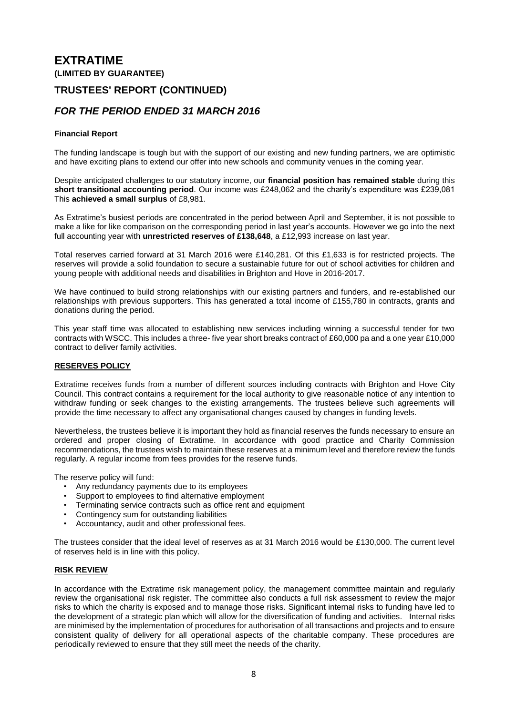### **TRUSTEES' REPORT (CONTINUED)**

### *FOR THE PERIOD ENDED 31 MARCH 2016*

#### **Financial Report**

The funding landscape is tough but with the support of our existing and new funding partners, we are optimistic and have exciting plans to extend our offer into new schools and community venues in the coming year.

Despite anticipated challenges to our statutory income, our **financial position has remained stable** during this **short transitional accounting period**. Our income was £248,062 and the charity's expenditure was £239,081 This **achieved a small surplus** of £8,981.

As Extratime's busiest periods are concentrated in the period between April and September, it is not possible to make a like for like comparison on the corresponding period in last year's accounts. However we go into the next full accounting year with **unrestricted reserves of £138,648**, a £12,993 increase on last year.

Total reserves carried forward at 31 March 2016 were £140,281. Of this £1,633 is for restricted projects. The reserves will provide a solid foundation to secure a sustainable future for out of school activities for children and young people with additional needs and disabilities in Brighton and Hove in 2016-2017.

We have continued to build strong relationships with our existing partners and funders, and re-established our relationships with previous supporters. This has generated a total income of £155,780 in contracts, grants and donations during the period.

This year staff time was allocated to establishing new services including winning a successful tender for two contracts with WSCC. This includes a three- five year short breaks contract of £60,000 pa and a one year £10,000 contract to deliver family activities.

#### **RESERVES POLICY**

Extratime receives funds from a number of different sources including contracts with Brighton and Hove City Council. This contract contains a requirement for the local authority to give reasonable notice of any intention to withdraw funding or seek changes to the existing arrangements. The trustees believe such agreements will provide the time necessary to affect any organisational changes caused by changes in funding levels.

Nevertheless, the trustees believe it is important they hold as financial reserves the funds necessary to ensure an ordered and proper closing of Extratime. In accordance with good practice and Charity Commission recommendations, the trustees wish to maintain these reserves at a minimum level and therefore review the funds regularly. A regular income from fees provides for the reserve funds.

The reserve policy will fund:

- Any redundancy payments due to its employees
- Support to employees to find alternative employment
- Terminating service contracts such as office rent and equipment
- Contingency sum for outstanding liabilities
- Accountancy, audit and other professional fees.

The trustees consider that the ideal level of reserves as at 31 March 2016 would be £130,000. The current level of reserves held is in line with this policy.

#### **RISK REVIEW**

In accordance with the Extratime risk management policy, the management committee maintain and regularly review the organisational risk register. The committee also conducts a full risk assessment to review the major risks to which the charity is exposed and to manage those risks. Significant internal risks to funding have led to the development of a strategic plan which will allow for the diversification of funding and activities. Internal risks are minimised by the implementation of procedures for authorisation of all transactions and projects and to ensure consistent quality of delivery for all operational aspects of the charitable company. These procedures are periodically reviewed to ensure that they still meet the needs of the charity.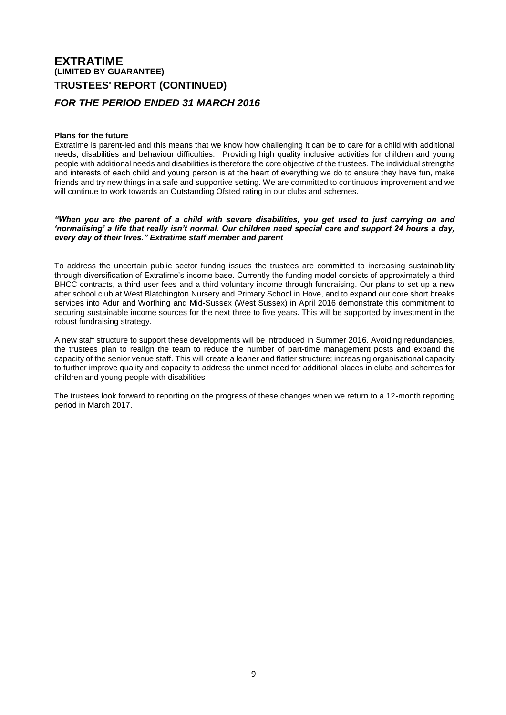## **EXTRATIME (LIMITED BY GUARANTEE) TRUSTEES' REPORT (CONTINUED)** *FOR THE PERIOD ENDED 31 MARCH 2016*

#### **Plans for the future**

Extratime is parent-led and this means that we know how challenging it can be to care for a child with additional needs, disabilities and behaviour difficulties. Providing high quality inclusive activities for children and young people with additional needs and disabilities is therefore the core objective of the trustees. The individual strengths and interests of each child and young person is at the heart of everything we do to ensure they have fun, make friends and try new things in a safe and supportive setting. We are committed to continuous improvement and we will continue to work towards an Outstanding Ofsted rating in our clubs and schemes.

*"When you are the parent of a child with severe disabilities, you get used to just carrying on and 'normalising' a life that really isn't normal. Our children need special care and support 24 hours a day, every day of their lives." Extratime staff member and parent*

To address the uncertain public sector fundng issues the trustees are committed to increasing sustainability through diversification of Extratime's income base. Currently the funding model consists of approximately a third BHCC contracts, a third user fees and a third voluntary income through fundraising. Our plans to set up a new after school club at West Blatchington Nursery and Primary School in Hove, and to expand our core short breaks services into Adur and Worthing and Mid-Sussex (West Sussex) in April 2016 demonstrate this commitment to securing sustainable income sources for the next three to five years. This will be supported by investment in the robust fundraising strategy.

A new staff structure to support these developments will be introduced in Summer 2016. Avoiding redundancies, the trustees plan to realign the team to reduce the number of part-time management posts and expand the capacity of the senior venue staff. This will create a leaner and flatter structure; increasing organisational capacity to further improve quality and capacity to address the unmet need for additional places in clubs and schemes for children and young people with disabilities

The trustees look forward to reporting on the progress of these changes when we return to a 12-month reporting period in March 2017.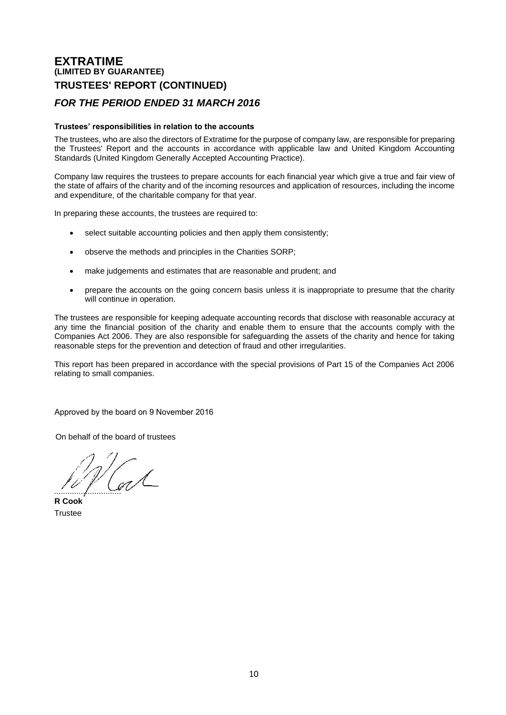### **EXTRATIME (LIMITED BY GUARANTEE) TRUSTEES' REPORT (CONTINUED)**

### *FOR THE PERIOD ENDED 31 MARCH 2016*

#### **Trustees' responsibilities in relation to the accounts**

The trustees, who are also the directors of Extratime for the purpose of company law, are responsible for preparing the Trustees' Report and the accounts in accordance with applicable law and United Kingdom Accounting Standards (United Kingdom Generally Accepted Accounting Practice).

Company law requires the trustees to prepare accounts for each financial year which give a true and fair view of the state of affairs of the charity and of the incoming resources and application of resources, including the income and expenditure, of the charitable company for that year.

In preparing these accounts, the trustees are required to:

- select suitable accounting policies and then apply them consistently;
- observe the methods and principles in the Charities SORP;
- make judgements and estimates that are reasonable and prudent; and
- prepare the accounts on the going concern basis unless it is inappropriate to presume that the charity will continue in operation.

The trustees are responsible for keeping adequate accounting records that disclose with reasonable accuracy at any time the financial position of the charity and enable them to ensure that the accounts comply with the Companies Act 2006. They are also responsible for safeguarding the assets of the charity and hence for taking reasonable steps for the prevention and detection of fraud and other irregularities.

This report has been prepared in accordance with the special provisions of Part 15 of the Companies Act 2006 relating to small companies.

Approved by the board on 9 November 2016

On behalf of the board of trustees

..............................

**R Cook Trustee**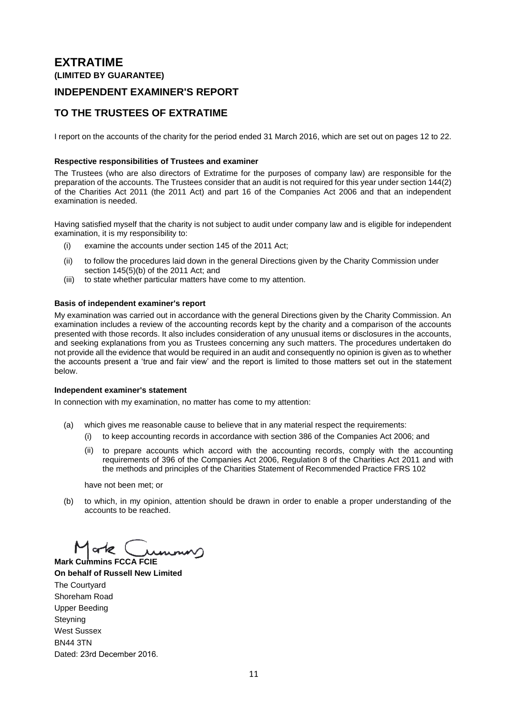### **INDEPENDENT EXAMINER'S REPORT**

### **TO THE TRUSTEES OF EXTRATIME**

I report on the accounts of the charity for the period ended 31 March 2016, which are set out on pages 12 to 22.

### **Respective responsibilities of Trustees and examiner**

The Trustees (who are also directors of Extratime for the purposes of company law) are responsible for the preparation of the accounts. The Trustees consider that an audit is not required for this year under section 144(2) of the Charities Act 2011 (the 2011 Act) and part 16 of the Companies Act 2006 and that an independent examination is needed.

Having satisfied myself that the charity is not subject to audit under company law and is eligible for independent examination, it is my responsibility to:

- (i) examine the accounts under section 145 of the 2011 Act;
- (ii) to follow the procedures laid down in the general Directions given by the Charity Commission under section 145(5)(b) of the 2011 Act; and
- (iii) to state whether particular matters have come to my attention.

#### **Basis of independent examiner's report**

My examination was carried out in accordance with the general Directions given by the Charity Commission. An examination includes a review of the accounting records kept by the charity and a comparison of the accounts presented with those records. It also includes consideration of any unusual items or disclosures in the accounts, and seeking explanations from you as Trustees concerning any such matters. The procedures undertaken do not provide all the evidence that would be required in an audit and consequently no opinion is given as to whether the accounts present a 'true and fair view' and the report is limited to those matters set out in the statement below.

#### **Independent examiner's statement**

In connection with my examination, no matter has come to my attention:

- (a) which gives me reasonable cause to believe that in any material respect the requirements:
	- (i) to keep accounting records in accordance with section 386 of the Companies Act 2006; and
	- (ii) to prepare accounts which accord with the accounting records, comply with the accounting requirements of 396 of the Companies Act 2006, Regulation 8 of the Charities Act 2011 and with the methods and principles of the Charities Statement of Recommended Practice FRS 102

have not been met; or

(b) to which, in my opinion, attention should be drawn in order to enable a proper understanding of the accounts to be reached.

 $\frac{1}{2}$ 

**Mark Cummins FCCA FCIE On behalf of Russell New Limited** The Courtyard Shoreham Road Upper Beeding **Steyning** West Sussex BN44 3TN Dated: 23rd December 2016.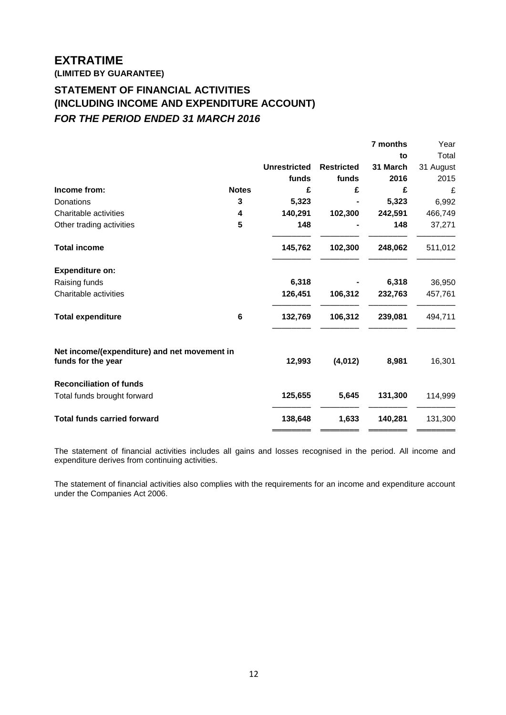**(LIMITED BY GUARANTEE)**

## **STATEMENT OF FINANCIAL ACTIVITIES INCLUDING INCOME AND EXPENDITURE ACCOUNT (INCLUDING INCOME AND EXPENDITURE ACCOUNT)** *FOR THE PERIOD ENDED 31 MARCH 2016*

|                                                                    |              |                     |                   | 7 months | Year      |
|--------------------------------------------------------------------|--------------|---------------------|-------------------|----------|-----------|
|                                                                    |              |                     |                   | to       | Total     |
|                                                                    |              | <b>Unrestricted</b> | <b>Restricted</b> | 31 March | 31 August |
|                                                                    |              | funds               | funds             | 2016     | 2015      |
| Income from:                                                       | <b>Notes</b> | £                   | £                 | £        | £         |
| Donations                                                          | 3            | 5,323               |                   | 5,323    | 6,992     |
| Charitable activities                                              | 4            | 140,291             | 102,300           | 242,591  | 466,749   |
| Other trading activities                                           | 5            | 148                 |                   | 148      | 37,271    |
| <b>Total income</b>                                                |              | 145,762             | 102,300           | 248,062  | 511,012   |
| <b>Expenditure on:</b>                                             |              |                     |                   |          |           |
| Raising funds                                                      |              | 6,318               |                   | 6,318    | 36,950    |
| Charitable activities                                              |              | 126,451             | 106,312           | 232,763  | 457,761   |
| <b>Total expenditure</b>                                           | 6            | 132,769             | 106,312           | 239,081  | 494,711   |
| Net income/(expenditure) and net movement in<br>funds for the year |              | 12,993              | (4,012)           | 8,981    | 16,301    |
| <b>Reconciliation of funds</b>                                     |              |                     |                   |          |           |
| Total funds brought forward                                        |              | 125,655             | 5,645             | 131,300  | 114,999   |
| <b>Total funds carried forward</b>                                 |              | 138,648             | 1,633             | 140,281  | 131,300   |
|                                                                    |              |                     |                   |          |           |

The statement of financial activities includes all gains and losses recognised in the period. All income and expenditure derives from continuing activities.

The statement of financial activities also complies with the requirements for an income and expenditure account under the Companies Act 2006.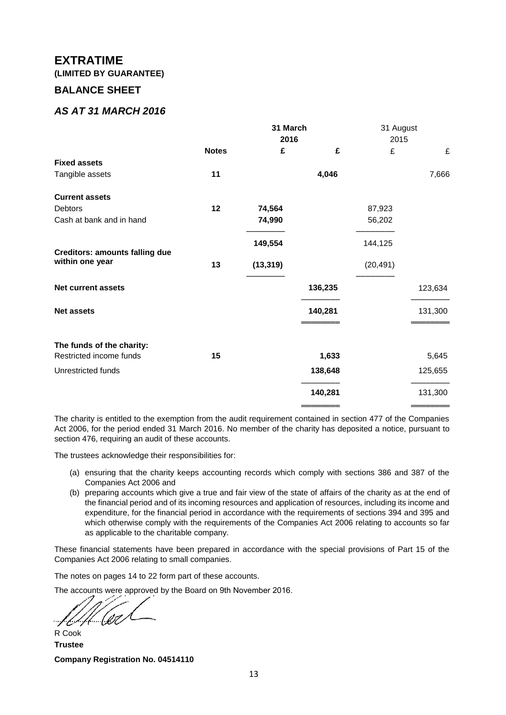**(LIMITED BY GUARANTEE)**

### **BALANCE SHEET**

### *AS AT 31 MARCH 2016*

|                                       |              | 31 March  |         | 31 August |         |
|---------------------------------------|--------------|-----------|---------|-----------|---------|
|                                       | 2016         |           |         | 2015      |         |
|                                       | <b>Notes</b> | £         | £       | £         | £       |
| <b>Fixed assets</b>                   |              |           |         |           |         |
| Tangible assets                       | 11           |           | 4,046   |           | 7,666   |
| <b>Current assets</b>                 |              |           |         |           |         |
| <b>Debtors</b>                        | 12           | 74,564    |         | 87,923    |         |
| Cash at bank and in hand              |              | 74,990    |         | 56,202    |         |
| <b>Creditors: amounts falling due</b> |              | 149,554   |         | 144,125   |         |
| within one year                       | 13           | (13, 319) |         | (20, 491) |         |
| <b>Net current assets</b>             |              |           | 136,235 |           | 123,634 |
| <b>Net assets</b>                     |              |           | 140,281 |           | 131,300 |
|                                       |              |           |         |           |         |
| The funds of the charity:             |              |           |         |           |         |
| Restricted income funds               | 15           |           | 1,633   |           | 5,645   |
| Unrestricted funds                    |              |           | 138,648 |           | 125,655 |
|                                       |              |           | 140,281 |           | 131,300 |
|                                       |              |           |         |           |         |

The charity is entitled to the exemption from the audit requirement contained in section 477 of the Companies Act 2006, for the period ended 31 March 2016. No member of the charity has deposited a notice, pursuant to section 476, requiring an audit of these accounts.

The trustees acknowledge their responsibilities for:

- (a) ensuring that the charity keeps accounting records which comply with sections 386 and 387 of the Companies Act 2006 and
- (b) preparing accounts which give a true and fair view of the state of affairs of the charity as at the end of the financial period and of its incoming resources and application of resources, including its income and expenditure, for the financial period in accordance with the requirements of sections 394 and 395 and which otherwise comply with the requirements of the Companies Act 2006 relating to accounts so far as applicable to the charitable company.

These financial statements have been prepared in accordance with the special provisions of Part 15 of the Companies Act 2006 relating to small companies.

The notes on pages 14 to 22 form part of these accounts.

The accounts were approved by the Board on 9th November 2016.

'{ (Ot  $-$ f Er $\gamma$ 

R Cook **Trustee Company Registration No. 04514110**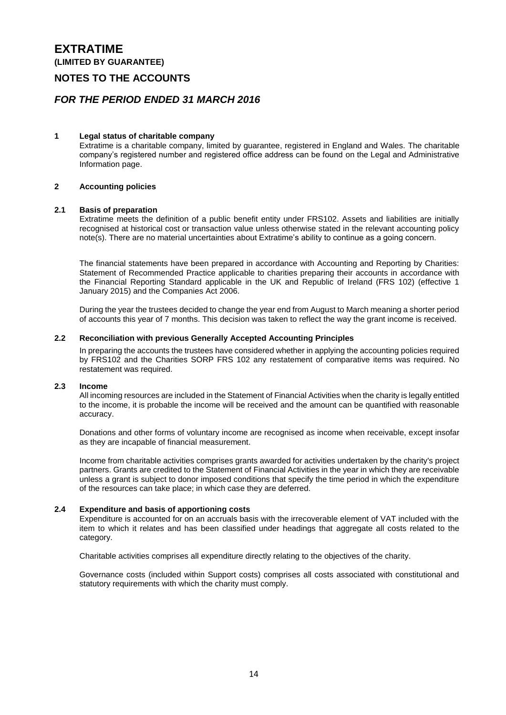**(LIMITED BY GUARANTEE)**

### **NOTES TO THE ACCOUNTS**

### *FOR THE PERIOD ENDED 31 MARCH 2016*

#### **1 Legal status of charitable company**

Extratime is a charitable company, limited by guarantee, registered in England and Wales. The charitable company's registered number and registered office address can be found on the Legal and Administrative Information page.

#### **2 Accounting policies**

#### **2.1 Basis of preparation**

Extratime meets the definition of a public benefit entity under FRS102. Assets and liabilities are initially recognised at historical cost or transaction value unless otherwise stated in the relevant accounting policy note(s). There are no material uncertainties about Extratime's ability to continue as a going concern.

The financial statements have been prepared in accordance with Accounting and Reporting by Charities: Statement of Recommended Practice applicable to charities preparing their accounts in accordance with the Financial Reporting Standard applicable in the UK and Republic of Ireland (FRS 102) (effective 1 January 2015) and the Companies Act 2006.

During the year the trustees decided to change the year end from August to March meaning a shorter period of accounts this year of 7 months. This decision was taken to reflect the way the grant income is received.

#### **2.2 Reconciliation with previous Generally Accepted Accounting Principles**

In preparing the accounts the trustees have considered whether in applying the accounting policies required by FRS102 and the Charities SORP FRS 102 any restatement of comparative items was required. No restatement was required.

#### **2.3 Income**

All incoming resources are included in the Statement of Financial Activities when the charity is legally entitled to the income, it is probable the income will be received and the amount can be quantified with reasonable accuracy.

Donations and other forms of voluntary income are recognised as income when receivable, except insofar as they are incapable of financial measurement.

Income from charitable activities comprises grants awarded for activities undertaken by the charity's project partners. Grants are credited to the Statement of Financial Activities in the year in which they are receivable unless a grant is subject to donor imposed conditions that specify the time period in which the expenditure of the resources can take place; in which case they are deferred.

#### **2.4 Expenditure and basis of apportioning costs**

Expenditure is accounted for on an accruals basis with the irrecoverable element of VAT included with the item to which it relates and has been classified under headings that aggregate all costs related to the category.

Charitable activities comprises all expenditure directly relating to the objectives of the charity.

Governance costs (included within Support costs) comprises all costs associated with constitutional and statutory requirements with which the charity must comply.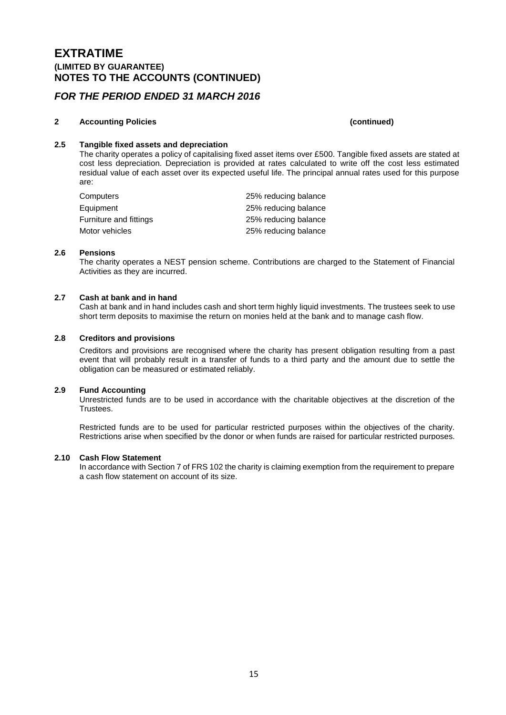### **EXTRATIME (LIMITED BY GUARANTEE) NOTES TO THE ACCOUNTS (CONTINUED)**

### *FOR THE PERIOD ENDED 31 MARCH 2016*

### **2 Accounting Policies (continued)**

### **2.5 Tangible fixed assets and depreciation**

The charity operates a policy of capitalising fixed asset items over £500. Tangible fixed assets are stated at cost less depreciation. Depreciation is provided at rates calculated to write off the cost less estimated residual value of each asset over its expected useful life. The principal annual rates used for this purpose are:

| Computers              | 25% reducing balance |
|------------------------|----------------------|
| Equipment              | 25% reducing balance |
| Furniture and fittings | 25% reducing balance |
| Motor vehicles         | 25% reducing balance |

#### **2.6 Pensions**

The charity operates a NEST pension scheme. Contributions are charged to the Statement of Financial Activities as they are incurred.

#### **2.7 Cash at bank and in hand**

Cash at bank and in hand includes cash and short term highly liquid investments. The trustees seek to use short term deposits to maximise the return on monies held at the bank and to manage cash flow.

#### **2.8 Creditors and provisions**

Creditors and provisions are recognised where the charity has present obligation resulting from a past event that will probably result in a transfer of funds to a third party and the amount due to settle the obligation can be measured or estimated reliably.

### **2.9 Fund Accounting**

Unrestricted funds are to be used in accordance with the charitable objectives at the discretion of the Trustees.

Restricted funds are to be used for particular restricted purposes within the objectives of the charity. Restrictions arise when specified by the donor or when funds are raised for particular restricted purposes.

#### **2.10 Cash Flow Statement**

In accordance with Section 7 of FRS 102 the charity is claiming exemption from the requirement to prepare a cash flow statement on account of its size.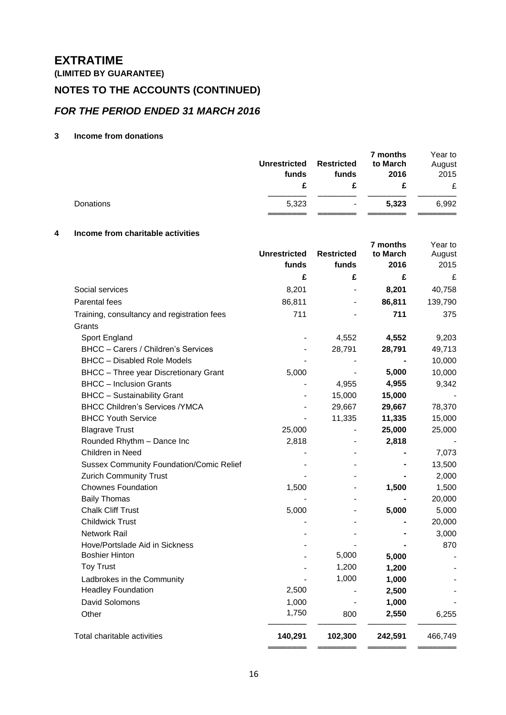**(LIMITED BY GUARANTEE)**

# **NOTES TO THE ACCOUNTS (CONTINUED)**

### *FOR THE PERIOD ENDED 31 MARCH 2016*

### **3 Income from donations**

|           | <b>Unrestricted</b><br>funds | <b>Restricted</b><br>funds | 7 months<br>to March<br>2016 | Year to<br>August<br>2015<br>£ |
|-----------|------------------------------|----------------------------|------------------------------|--------------------------------|
| Donations | 5,323                        | $\blacksquare$             | 5,323                        | 6,992                          |

### **4 Income from charitable activities**

|                                                 | <b>Unrestricted</b> | <b>Restricted</b> | 7 months<br>to March | Year to<br>August |
|-------------------------------------------------|---------------------|-------------------|----------------------|-------------------|
|                                                 | funds               | funds             | 2016                 | 2015              |
|                                                 | £                   | £                 | £                    | £                 |
| Social services                                 | 8,201               |                   | 8,201                | 40,758            |
| Parental fees                                   | 86,811              |                   | 86,811               | 139,790           |
| Training, consultancy and registration fees     | 711                 |                   | 711                  | 375               |
| Grants                                          |                     |                   |                      |                   |
| Sport England                                   |                     | 4,552             | 4,552                | 9,203             |
| BHCC - Carers / Children's Services             |                     | 28,791            | 28,791               | 49,713            |
| <b>BHCC - Disabled Role Models</b>              |                     |                   |                      | 10,000            |
| <b>BHCC</b> - Three year Discretionary Grant    | 5,000               |                   | 5,000                | 10,000            |
| <b>BHCC</b> – Inclusion Grants                  |                     | 4,955             | 4,955                | 9,342             |
| <b>BHCC - Sustainability Grant</b>              | $\blacksquare$      | 15,000            | 15,000               |                   |
| <b>BHCC Children's Services /YMCA</b>           |                     | 29,667            | 29,667               | 78,370            |
| <b>BHCC Youth Service</b>                       |                     | 11,335            | 11,335               | 15,000            |
| <b>Blagrave Trust</b>                           | 25,000              |                   | 25,000               | 25,000            |
| Rounded Rhythm - Dance Inc                      | 2,818               |                   | 2,818                |                   |
| Children in Need                                |                     |                   |                      | 7,073             |
| <b>Sussex Community Foundation/Comic Relief</b> |                     |                   |                      | 13,500            |
| <b>Zurich Community Trust</b>                   |                     |                   |                      | 2,000             |
| <b>Chownes Foundation</b>                       | 1,500               |                   | 1,500                | 1,500             |
| <b>Baily Thomas</b>                             |                     |                   |                      | 20,000            |
| <b>Chalk Cliff Trust</b>                        | 5,000               |                   | 5,000                | 5,000             |
| <b>Childwick Trust</b>                          |                     |                   |                      | 20,000            |
| Network Rail                                    |                     |                   |                      | 3,000             |
| Hove/Portslade Aid in Sickness                  |                     |                   |                      | 870               |
| <b>Boshier Hinton</b>                           |                     | 5,000             | 5,000                |                   |
| <b>Toy Trust</b>                                |                     | 1,200             | 1,200                |                   |
| Ladbrokes in the Community                      |                     | 1,000             | 1,000                |                   |
| <b>Headley Foundation</b>                       | 2,500               |                   | 2,500                |                   |
| <b>David Solomons</b>                           | 1,000               |                   | 1,000                |                   |
| Other                                           | 1,750               | 800               | 2,550                | 6,255             |
| Total charitable activities                     | 140,291             | 102,300           | 242,591              | 466,749           |
|                                                 |                     |                   |                      |                   |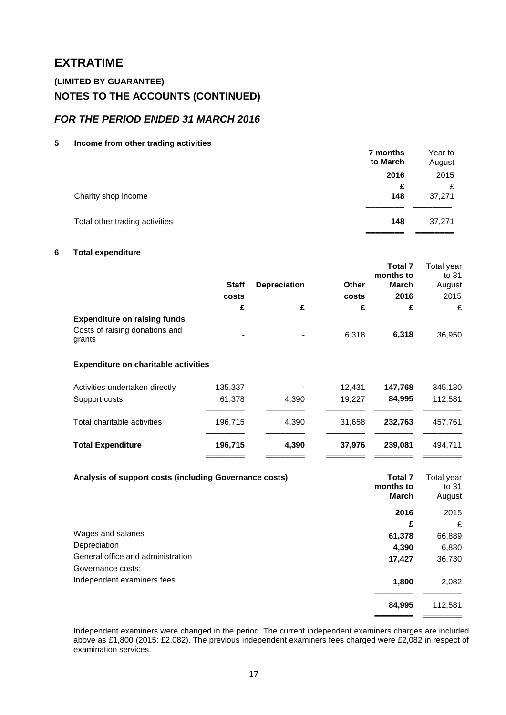### **(LIMITED BY GUARANTEE) NOTES TO THE ACCOUNTS (CONTINUED)**

### *FOR THE PERIOD ENDED 31 MARCH 2016*

**5 Income from other trading activities**

|                                | 7 months<br>to March | Year to<br>August |
|--------------------------------|----------------------|-------------------|
|                                | 2016                 | 2015              |
| Charity shop income            | £<br>148             | £<br>37,271       |
| Total other trading activities | 148                  | 37,271            |
|                                |                      |                   |

### **6 Total expenditure**

|                                          |              |                     |       | <b>Total 7</b> | Total year |
|------------------------------------------|--------------|---------------------|-------|----------------|------------|
|                                          |              |                     |       | months to      | to 31      |
|                                          | <b>Staff</b> | <b>Depreciation</b> | Other | March          | August     |
|                                          | costs        |                     | costs | 2016           | 2015       |
|                                          | £            | £                   | £     | £              | £          |
| <b>Expenditure on raising funds</b>      |              |                     |       |                |            |
| Costs of raising donations and<br>grants | ۰            | $\blacksquare$      | 6,318 | 6,318          | 36,950     |

#### **Expenditure on charitable activities**

| Activities undertaken directly<br>Support costs | 135,337<br>61,378 | $\blacksquare$<br>4.390 | 12.431<br>19.227 | 147.768<br>84.995 | 345.180<br>112.581 |
|-------------------------------------------------|-------------------|-------------------------|------------------|-------------------|--------------------|
| Total charitable activities                     | 196,715           | 4.390                   | 31.658           | 232.763           | 457.761            |
| <b>Total Expenditure</b>                        | 196,715           | 4.390                   | 37.976           | 239.081           | 494.711            |

| Analysis of support costs (including Governance costs) | <b>Total 7</b><br>months to<br><b>March</b> | Total year<br>to 31<br>August |
|--------------------------------------------------------|---------------------------------------------|-------------------------------|
|                                                        | 2016                                        | 2015                          |
|                                                        | £                                           | £                             |
| Wages and salaries                                     | 61,378                                      | 66,889                        |
| Depreciation                                           | 4,390                                       | 6,880                         |
| General office and administration                      | 17,427                                      | 36,730                        |
| Governance costs:                                      |                                             |                               |
| Independent examiners fees                             | 1,800                                       | 2,082                         |
|                                                        | 84,995                                      | 112,581                       |
|                                                        |                                             |                               |

Independent examiners were changed in the period. The current independent examiners charges are included above as £1,800 (2015: £2,082). The previous independent examiners fees charged were £2,082 in respect of examination services.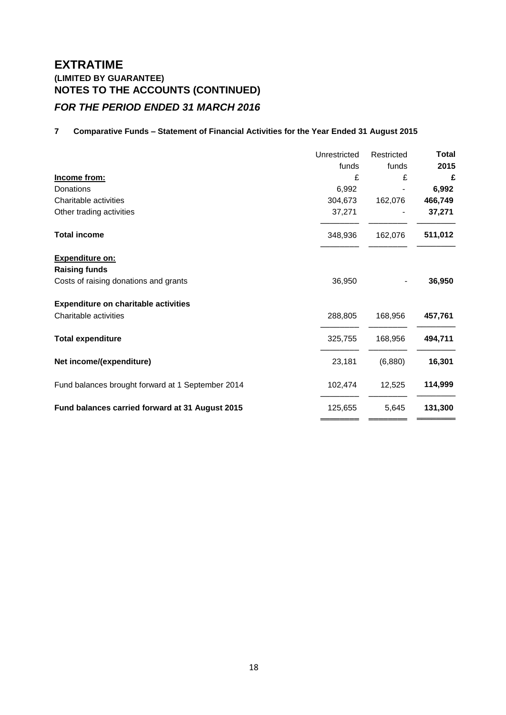# **EXTRATIME (LIMITED BY GUARANTEE) NOTES TO THE ACCOUNTS (CONTINUED)** *FOR THE PERIOD ENDED 31 MARCH 2016*

### **7 Comparative Funds – Statement of Financial Activities for the Year Ended 31 August 2015**

|                                                   | Unrestricted | Restricted | <b>Total</b> |
|---------------------------------------------------|--------------|------------|--------------|
|                                                   | funds        | funds      | 2015         |
| Income from:                                      | £            | £          | £            |
| Donations                                         | 6,992        |            | 6,992        |
| Charitable activities                             | 304,673      | 162,076    | 466,749      |
| Other trading activities                          | 37,271       |            | 37,271       |
| <b>Total income</b>                               | 348,936      | 162,076    | 511,012      |
| <b>Expenditure on:</b>                            |              |            |              |
| <b>Raising funds</b>                              |              |            |              |
| Costs of raising donations and grants             | 36,950       |            | 36,950       |
| <b>Expenditure on charitable activities</b>       |              |            |              |
| Charitable activities                             | 288,805      | 168,956    | 457,761      |
| <b>Total expenditure</b>                          | 325,755      | 168,956    | 494,711      |
| Net income/(expenditure)                          | 23,181       | (6,880)    | 16,301       |
| Fund balances brought forward at 1 September 2014 | 102,474      | 12,525     | 114,999      |
| Fund balances carried forward at 31 August 2015   | 125,655      | 5,645      | 131,300      |
|                                                   |              |            |              |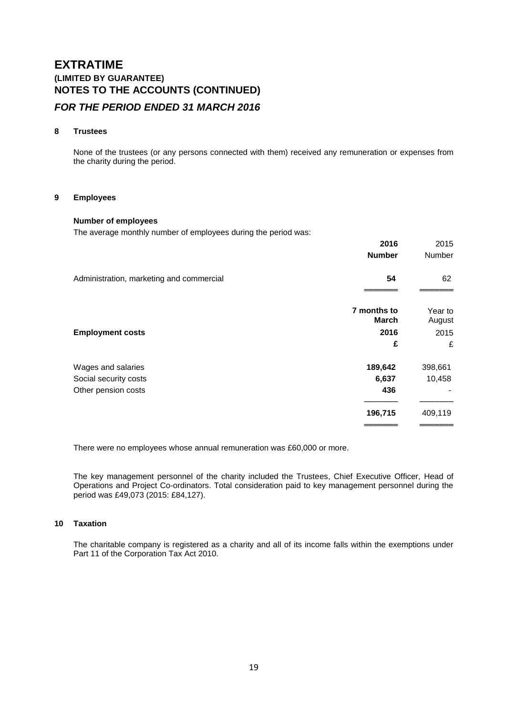# **EXTRATIME (LIMITED BY GUARANTEE) NOTES TO THE ACCOUNTS (CONTINUED)**

### *FOR THE PERIOD ENDED 31 MARCH 2016*

### **8 Trustees**

None of the trustees (or any persons connected with them) received any remuneration or expenses from the charity during the period.

#### **9 Employees**

### **Number of employees**

The average monthly number of employees during the period was:

|                                          | 2016<br><b>Number</b>       | 2015<br>Number    |
|------------------------------------------|-----------------------------|-------------------|
| Administration, marketing and commercial | 54                          | 62                |
|                                          | 7 months to<br><b>March</b> | Year to<br>August |
| <b>Employment costs</b>                  | 2016                        | 2015              |
|                                          | £                           | £                 |
| Wages and salaries                       | 189,642                     | 398,661           |
| Social security costs                    | 6,637                       | 10,458            |
| Other pension costs                      | 436                         |                   |
|                                          | 196,715                     | 409,119           |
|                                          |                             |                   |

There were no employees whose annual remuneration was £60,000 or more.

The key management personnel of the charity included the Trustees, Chief Executive Officer, Head of Operations and Project Co-ordinators. Total consideration paid to key management personnel during the period was £49,073 (2015: £84,127).

#### **10 Taxation**

The charitable company is registered as a charity and all of its income falls within the exemptions under Part 11 of the Corporation Tax Act 2010.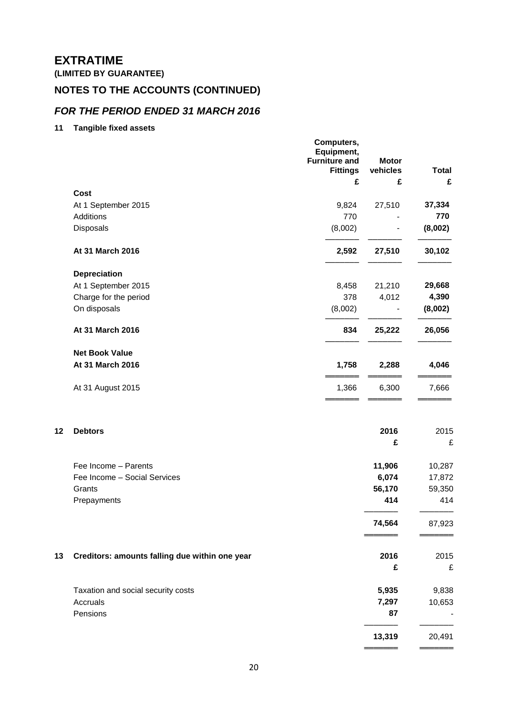**(LIMITED BY GUARANTEE)**

# **NOTES TO THE ACCOUNTS (CONTINUED)**

### *FOR THE PERIOD ENDED 31 MARCH 2016*

**11 Tangible fixed assets**

|    |                                                | Computers,<br>Equipment,<br><b>Furniture and</b><br><b>Fittings</b><br>£ | <b>Motor</b><br>vehicles<br>£ | <b>Total</b><br>£ |
|----|------------------------------------------------|--------------------------------------------------------------------------|-------------------------------|-------------------|
|    | <b>Cost</b>                                    |                                                                          |                               |                   |
|    | At 1 September 2015                            | 9,824                                                                    | 27,510                        | 37,334            |
|    | Additions                                      | 770                                                                      |                               | 770               |
|    | Disposals                                      | (8,002)                                                                  |                               | (8,002)           |
|    | At 31 March 2016                               | 2,592                                                                    | 27,510                        | 30,102            |
|    | <b>Depreciation</b>                            |                                                                          |                               |                   |
|    | At 1 September 2015                            | 8,458                                                                    | 21,210                        | 29,668            |
|    | Charge for the period                          | 378                                                                      | 4,012                         | 4,390             |
|    | On disposals                                   | (8,002)                                                                  |                               | (8,002)           |
|    | At 31 March 2016                               | 834                                                                      | 25,222                        | 26,056            |
|    | <b>Net Book Value</b><br>At 31 March 2016      | 1,758                                                                    | 2,288                         | 4,046             |
|    |                                                |                                                                          |                               |                   |
|    | At 31 August 2015                              | 1,366                                                                    | 6,300                         | 7,666             |
| 12 | <b>Debtors</b>                                 |                                                                          | 2016<br>£                     | 2015<br>£         |
|    |                                                |                                                                          |                               |                   |
|    | Fee Income - Parents                           |                                                                          | 11,906                        | 10,287            |
|    | Fee Income - Social Services                   |                                                                          | 6,074                         | 17,872            |
|    | Grants                                         |                                                                          | 56,170                        | 59,350            |
|    | Prepayments                                    |                                                                          | 414                           | 414               |
|    |                                                |                                                                          | 74,564                        | 87,923            |
| 13 | Creditors: amounts falling due within one year |                                                                          | 2016                          | 2015              |
|    |                                                |                                                                          | £                             | £                 |
|    | Taxation and social security costs             |                                                                          | 5,935                         | 9,838             |
|    | Accruals                                       |                                                                          | 7,297                         | 10,653            |
|    | Pensions                                       |                                                                          | 87                            |                   |
|    |                                                |                                                                          | 13,319                        | 20,491            |
|    |                                                |                                                                          |                               |                   |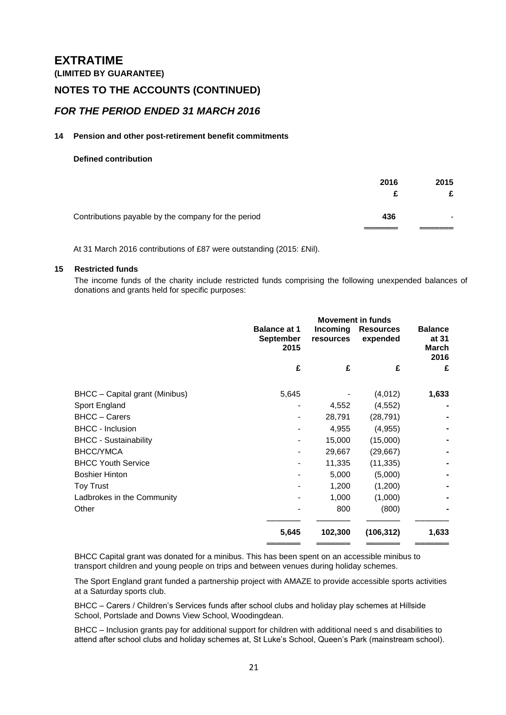**(LIMITED BY GUARANTEE)**

### **NOTES TO THE ACCOUNTS (CONTINUED)**

### *FOR THE PERIOD ENDED 31 MARCH 2016*

#### **14 Pension and other post-retirement benefit commitments**

#### **Defined contribution**

|                                                     | 2016 | 2015            |
|-----------------------------------------------------|------|-----------------|
| Contributions payable by the company for the period | 436  | $\qquad \qquad$ |

At 31 March 2016 contributions of £87 were outstanding (2015: £Nil).

#### **15 Restricted funds**

The income funds of the charity include restricted funds comprising the following unexpended balances of donations and grants held for specific purposes:

|                                | <b>Movement in funds</b>                        |                       |                              |                                          |
|--------------------------------|-------------------------------------------------|-----------------------|------------------------------|------------------------------------------|
|                                | <b>Balance at 1</b><br><b>September</b><br>2015 | Incoming<br>resources | <b>Resources</b><br>expended | <b>Balance</b><br>at 31<br>March<br>2016 |
|                                | £                                               | £                     | £                            | £                                        |
| BHCC - Capital grant (Minibus) | 5,645                                           |                       | (4,012)                      | 1,633                                    |
| Sport England                  |                                                 | 4,552                 | (4, 552)                     |                                          |
| <b>BHCC - Carers</b>           |                                                 | 28,791                | (28, 791)                    |                                          |
| <b>BHCC</b> - Inclusion        |                                                 | 4,955                 | (4, 955)                     |                                          |
| <b>BHCC - Sustainability</b>   |                                                 | 15,000                | (15,000)                     |                                          |
| BHCC/YMCA                      |                                                 | 29,667                | (29, 667)                    |                                          |
| <b>BHCC Youth Service</b>      |                                                 | 11,335                | (11, 335)                    |                                          |
| <b>Boshier Hinton</b>          |                                                 | 5,000                 | (5,000)                      |                                          |
| <b>Toy Trust</b>               |                                                 | 1,200                 | (1,200)                      |                                          |
| Ladbrokes in the Community     |                                                 | 1,000                 | (1,000)                      |                                          |
| Other                          |                                                 | 800                   | (800)                        |                                          |
|                                | 5,645                                           | 102,300               | (106, 312)                   | 1,633                                    |
|                                |                                                 |                       |                              |                                          |

BHCC Capital grant was donated for a minibus. This has been spent on an accessible minibus to transport children and young people on trips and between venues during holiday schemes.

The Sport England grant funded a partnership project with AMAZE to provide accessible sports activities at a Saturday sports club.

BHCC – Carers / Children's Services funds after school clubs and holiday play schemes at Hillside School, Portslade and Downs View School, Woodingdean.

BHCC – Inclusion grants pay for additional support for children with additional need s and disabilities to attend after school clubs and holiday schemes at, St Luke's School, Queen's Park (mainstream school).